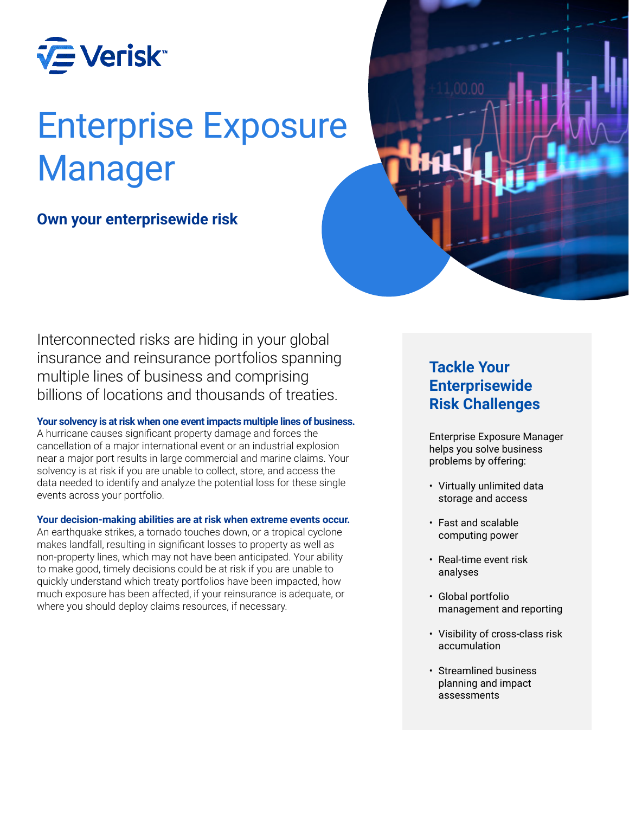

# Enterprise Exposure Manager

## **Own your enterprisewide risk**



Interconnected risks are hiding in your global insurance and reinsurance portfolios spanning multiple lines of business and comprising billions of locations and thousands of treaties.

## **Your solvency is at risk when one event impacts multiple lines of business.**

A hurricane causes significant property damage and forces the cancellation of a major international event or an industrial explosion near a major port results in large commercial and marine claims. Your solvency is at risk if you are unable to collect, store, and access the data needed to identify and analyze the potential loss for these single events across your portfolio.

## **Your decision-making abilities are at risk when extreme events occur.**

An earthquake strikes, a tornado touches down, or a tropical cyclone makes landfall, resulting in significant losses to property as well as non-property lines, which may not have been anticipated. Your ability to make good, timely decisions could be at risk if you are unable to quickly understand which treaty portfolios have been impacted, how much exposure has been affected, if your reinsurance is adequate, or where you should deploy claims resources, if necessary.

## **Tackle Your Enterprisewide Risk Challenges**

Enterprise Exposure Manager helps you solve business problems by offering:

- Virtually unlimited data storage and access
- Fast and scalable computing power
- Real-time event risk analyses
- Global portfolio management and reporting
- Visibility of cross-class risk accumulation
- Streamlined business planning and impact assessments